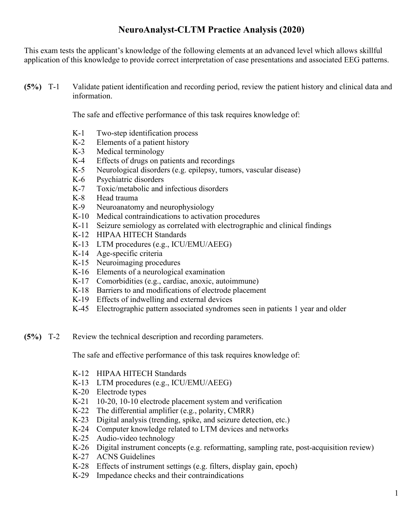## **NeuroAnalyst-CLTM Practice Analysis (2020)**

This exam tests the applicant's knowledge of the following elements at an advanced level which allows skillful application of this knowledge to provide correct interpretation of case presentations and associated EEG patterns.

**(5%)** T-1 Validate patient identification and recording period, review the patient history and clinical data and information.

The safe and effective performance of this task requires knowledge of:

- K-1 Two-step identification process
- K-2 Elements of a patient history
- K-3 Medical terminology
- K-4 Effects of drugs on patients and recordings
- K-5 Neurological disorders (e.g. epilepsy, tumors, vascular disease)
- K-6 Psychiatric disorders
- K-7 Toxic/metabolic and infectious disorders
- K-8 Head trauma
- K-9 Neuroanatomy and neurophysiology
- K-10 Medical contraindications to activation procedures
- K-11 Seizure semiology as correlated with electrographic and clinical findings
- K-12 HIPAA HITECH Standards
- K-13 LTM procedures (e.g., ICU/EMU/AEEG)
- K-14 Age-specific criteria
- K-15 Neuroimaging procedures
- K-16 Elements of a neurological examination
- K-17 Comorbidities (e.g., cardiac, anoxic, autoimmune)
- K-18 Barriers to and modifications of electrode placement
- K-19 Effects of indwelling and external devices
- K-45 Electrographic pattern associated syndromes seen in patients 1 year and older
- **(5%)** T-2 Review the technical description and recording parameters.

The safe and effective performance of this task requires knowledge of:

- K-12 HIPAA HITECH Standards
- K-13 LTM procedures (e.g., ICU/EMU/AEEG)
- K-20 Electrode types
- K-21 10-20, 10-10 electrode placement system and verification
- K-22 The differential amplifier (e.g., polarity, CMRR)
- K-23 Digital analysis (trending, spike, and seizure detection, etc.)
- K-24 Computer knowledge related to LTM devices and networks
- K-25 Audio-video technology
- K-26 Digital instrument concepts (e.g. reformatting, sampling rate, post-acquisition review)
- K-27 ACNS Guidelines
- K-28 Effects of instrument settings (e.g. filters, display gain, epoch)
- K-29 Impedance checks and their contraindications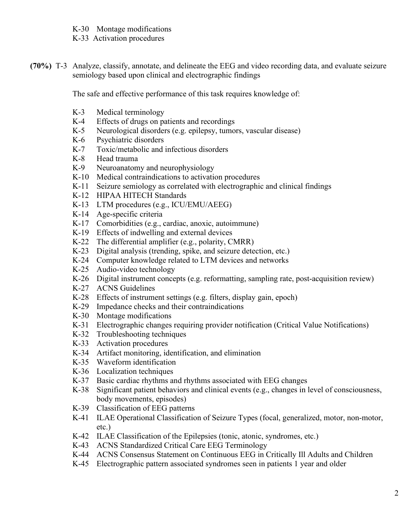- K-30 Montage modifications
- K-33 Activation procedures
- **(70%)** T-3 Analyze, classify, annotate, and delineate the EEG and video recording data, and evaluate seizure semiology based upon clinical and electrographic findings

The safe and effective performance of this task requires knowledge of:

- K-3 Medical terminology
- K-4 Effects of drugs on patients and recordings
- K-5 Neurological disorders (e.g. epilepsy, tumors, vascular disease)
- K-6 Psychiatric disorders
- K-7 Toxic/metabolic and infectious disorders
- K-8 Head trauma
- K-9 Neuroanatomy and neurophysiology
- K-10 Medical contraindications to activation procedures
- K-11 Seizure semiology as correlated with electrographic and clinical findings
- K-12 HIPAA HITECH Standards
- K-13 LTM procedures (e.g., ICU/EMU/AEEG)
- K-14 Age-specific criteria
- K-17 Comorbidities (e.g., cardiac, anoxic, autoimmune)
- K-19 Effects of indwelling and external devices
- K-22 The differential amplifier (e.g., polarity, CMRR)
- K-23 Digital analysis (trending, spike, and seizure detection, etc.)
- K-24 Computer knowledge related to LTM devices and networks
- K-25 Audio-video technology
- K-26 Digital instrument concepts (e.g. reformatting, sampling rate, post-acquisition review)
- K-27 ACNS Guidelines
- K-28 Effects of instrument settings (e.g. filters, display gain, epoch)
- K-29 Impedance checks and their contraindications
- K-30 Montage modifications
- K-31 Electrographic changes requiring provider notification (Critical Value Notifications)
- K-32 Troubleshooting techniques
- K-33 Activation procedures
- K-34 Artifact monitoring, identification, and elimination
- K-35 Waveform identification
- K-36 Localization techniques
- K-37 Basic cardiac rhythms and rhythms associated with EEG changes
- K-38 Significant patient behaviors and clinical events (e.g., changes in level of consciousness, body movements, episodes)
- K-39 Classification of EEG patterns
- K-41 ILAE Operational Classification of Seizure Types (focal, generalized, motor, non-motor, etc.)
- K-42 ILAE Classification of the Epilepsies (tonic, atonic, syndromes, etc.)
- K-43 ACNS Standardized Critical Care EEG Terminology
- K-44 ACNS Consensus Statement on Continuous EEG in Critically Ill Adults and Children
- K-45 Electrographic pattern associated syndromes seen in patients 1 year and older